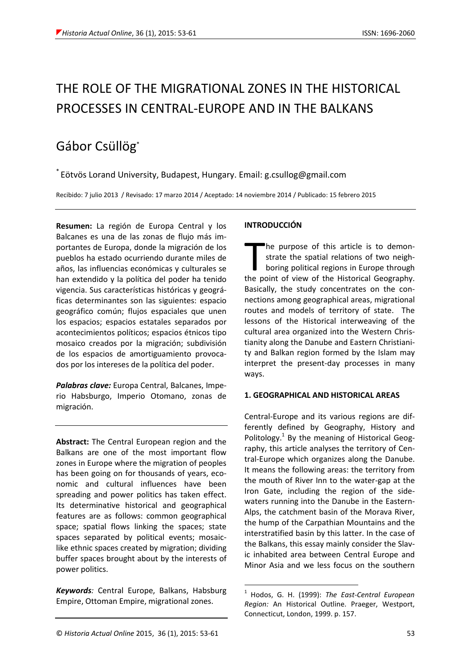# THE ROLE OF THE MIGRATIONAL ZONES IN THE HISTORICAL PROCESSES IN CENTRAL-EUROPE AND IN THE BALKANS

## Gábor Csüllög\*

\* Eötvös Lorand University, Budapest, Hungary. Email: g.csullog@gmail.com

Recibido: 7 julio 2013 / Revisado: 17 marzo 2014 / Aceptado: 14 noviembre 2014 / Publicado: 15 febrero 2015

**Resumen:** La región de Europa Central y los Balcanes es una de las zonas de flujo más importantes de Europa, donde la migración de los pueblos ha estado ocurriendo durante miles de años, las influencias económicas y culturales se han extendido y la política del poder ha tenido vigencia. Sus características históricas y geográficas determinantes son las siguientes: espacio geográfico común; flujos espaciales que unen los espacios; espacios estatales separados por acontecimientos políticos; espacios étnicos tipo mosaico creados por la migración; subdivisión de los espacios de amortiguamiento provocados por los intereses de la política del poder.

*Palabras clave:* Europa Central, Balcanes, Imperio Habsburgo, Imperio Otomano, zonas de migración.

**Abstract:** The Central European region and the Balkans are one of the most important flow zones in Europe where the migration of peoples has been going on for thousands of years, economic and cultural influences have been spreading and power politics has taken effect. Its determinative historical and geographical features are as follows: common geographical space; spatial flows linking the spaces; state spaces separated by political events; mosaiclike ethnic spaces created by migration; dividing buffer spaces brought about by the interests of power politics.

*Keywords:* Central Europe, Balkans, Habsburg Empire, Ottoman Empire, migrational zones.

### **INTRODUCCIÓN**

The purpose of this article is to demonstrate the spatial relations of two neighboring political regions in Europe through The purpose of this article is to demonstrate the spatial relations of two neighboring political regions in Europe through the point of view of the Historical Geography. Basically, the study concentrates on the connections among geographical areas, migrational routes and models of territory of state. The lessons of the Historical interweaving of the cultural area organized into the Western Christianity along the Danube and Eastern Christianity and Balkan region formed by the Islam may interpret the present-day processes in many ways.

#### **1. GEOGRAPHICAL AND HISTORICAL AREAS**

Central-Europe and its various regions are differently defined by Geography, History and Politology.<sup>1</sup> By the meaning of Historical Geography, this article analyses the territory of Central-Europe which organizes along the Danube. It means the following areas: the territory from the mouth of River Inn to the water-gap at the Iron Gate, including the region of the sidewaters running into the Danube in the Eastern-Alps, the catchment basin of the Morava River, the hump of the Carpathian Mountains and the interstratified basin by this latter. In the case of the Balkans, this essay mainly consider the Slavic inhabited area between Central Europe and Minor Asia and we less focus on the southern

<u>.</u>

<sup>1</sup> Hodos, G. H. (1999): *The East-Central European Region:* An Historical Outline. Praeger, Westport, Connecticut, London, 1999. p. 157.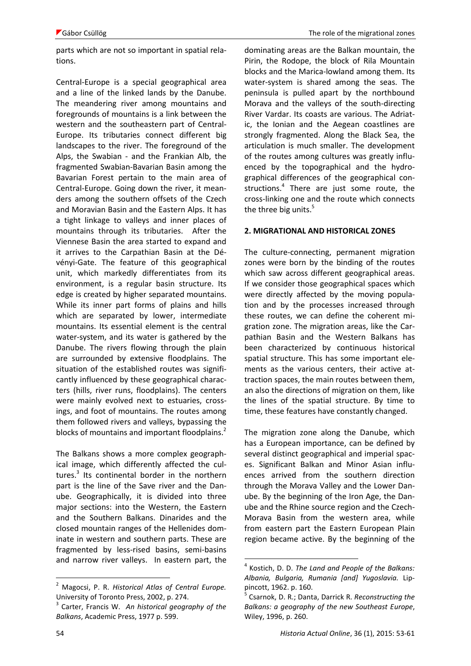parts which are not so important in spatial relations.

Central-Europe is a special geographical area and a line of the linked lands by the Danube. The meandering river among mountains and foregrounds of mountains is a link between the western and the southeastern part of Central-Europe. Its tributaries connect different big landscapes to the river. The foreground of the Alps, the Swabian - and the Frankian Alb, the fragmented Swabian-Bavarian Basin among the Bavarian Forest pertain to the main area of Central-Europe. Going down the river, it meanders among the southern offsets of the Czech and Moravian Basin and the Eastern Alps. It has a tight linkage to valleys and inner places of mountains through its tributaries. After the Viennese Basin the area started to expand and it arrives to the Carpathian Basin at the Dévényi-Gate. The feature of this geographical unit, which markedly differentiates from its environment, is a regular basin structure. Its edge is created by higher separated mountains. While its inner part forms of plains and hills which are separated by lower, intermediate mountains. Its essential element is the central water-system, and its water is gathered by the Danube. The rivers flowing through the plain are surrounded by extensive floodplains. The situation of the established routes was significantly influenced by these geographical characters (hills, river runs, floodplains). The centers were mainly evolved next to estuaries, crossings, and foot of mountains. The routes among them followed rivers and valleys, bypassing the blocks of mountains and important floodplains.<sup>2</sup>

The Balkans shows a more complex geographical image, which differently affected the cultures.<sup>3</sup> Its continental border in the northern part is the line of the Save river and the Danube. Geographically, it is divided into three major sections: into the Western, the Eastern and the Southern Balkans. Dinarides and the closed mountain ranges of the Hellenides dominate in western and southern parts. These are fragmented by less-rised basins, semi-basins and narrow river valleys. In eastern part, the dominating areas are the Balkan mountain, the Pirin, the Rodope, the block of Rila Mountain blocks and the Marica-lowland among them. Its water-system is shared among the seas. The peninsula is pulled apart by the northbound Morava and the valleys of the south-directing River Vardar. Its coasts are various. The Adriatic, the Ionian and the Aegean coastlines are strongly fragmented. Along the Black Sea, the articulation is much smaller. The development of the routes among cultures was greatly influenced by the topographical and the hydrographical differences of the geographical constructions.<sup>4</sup> There are just some route, the cross-linking one and the route which connects the three big units.<sup>5</sup>

#### **2. MIGRATIONAL AND HISTORICAL ZONES**

The culture-connecting, permanent migration zones were born by the binding of the routes which saw across different geographical areas. If we consider those geographical spaces which were directly affected by the moving population and by the processes increased through these routes, we can define the coherent migration zone. The migration areas, like the Carpathian Basin and the Western Balkans has been characterized by continuous historical spatial structure. This has some important elements as the various centers, their active attraction spaces, the main routes between them, an also the directions of migration on them, like the lines of the spatial structure. By time to time, these features have constantly changed.

The migration zone along the Danube, which has a European importance, can be defined by several distinct geographical and imperial spaces. Significant Balkan and Minor Asian influences arrived from the southern direction through the Morava Valley and the Lower Danube. By the beginning of the Iron Age, the Danube and the Rhine source region and the Czech-Morava Basin from the western area, while from eastern part the Eastern European Plain region became active. By the beginning of the

1

<sup>2</sup> Magocsi, P. R. *Historical Atlas of Central Europe.* University of Toronto Press, 2002, p. 274.

<sup>3</sup> Carter, Francis W. *An historical geography of the Balkans*, Academic Press, 1977 p. 599.

<sup>4</sup> Kostich, D. D. *The Land and People of the Balkans: Albania, Bulgaria, Rumania [and] Yugoslavia.* Lippincott, 1962. p. 160.

<sup>5</sup> Csarnok, D. R.; Danta, Darrick R. *Reconstructing the Balkans: a geography of the new Southeast Europe*, Wiley, 1996, p. 260.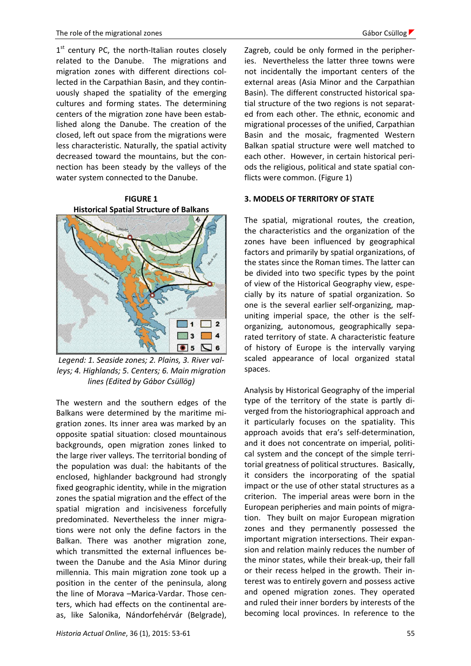1<sup>st</sup> century PC, the north-Italian routes closely related to the Danube. The migrations and migration zones with different directions collected in the Carpathian Basin, and they continuously shaped the spatiality of the emerging cultures and forming states. The determining centers of the migration zone have been established along the Danube. The creation of the closed, left out space from the migrations were less characteristic. Naturally, the spatial activity decreased toward the mountains, but the connection has been steady by the valleys of the water system connected to the Danube.

**FIGURE 1 Historical Spatial Structure of Balkans**



*Legend: 1. Seaside zones; 2. Plains, 3. River valleys; 4. Highlands; 5. Centers; 6. Main migration lines (Edited by Gábor Csüllög)*

The western and the southern edges of the Balkans were determined by the maritime migration zones. Its inner area was marked by an opposite spatial situation: closed mountainous backgrounds, open migration zones linked to the large river valleys. The territorial bonding of the population was dual: the habitants of the enclosed, highlander background had strongly fixed geographic identity, while in the migration zones the spatial migration and the effect of the spatial migration and incisiveness forcefully predominated. Nevertheless the inner migrations were not only the define factors in the Balkan. There was another migration zone, which transmitted the external influences between the Danube and the Asia Minor during millennia. This main migration zone took up a position in the center of the peninsula, along the line of Morava –Marica-Vardar. Those centers, which had effects on the continental areas, like Salonika, Nándorfehérvár (Belgrade), Zagreb, could be only formed in the peripheries. Nevertheless the latter three towns were not incidentally the important centers of the external areas (Asia Minor and the Carpathian Basin). The different constructed historical spatial structure of the two regions is not separated from each other. The ethnic, economic and migrational processes of the unified, Carpathian Basin and the mosaic, fragmented Western Balkan spatial structure were well matched to each other. However, in certain historical periods the religious, political and state spatial conflicts were common. (Figure 1)

#### **3. MODELS OF TERRITORY OF STATE**

The spatial, migrational routes, the creation, the characteristics and the organization of the zones have been influenced by geographical factors and primarily by spatial organizations, of the states since the Roman times. The latter can be divided into two specific types by the point of view of the Historical Geography view, especially by its nature of spatial organization. So one is the several earlier self-organizing, mapuniting imperial space, the other is the selforganizing, autonomous, geographically separated territory of state. A characteristic feature of history of Europe is the intervally varying scaled appearance of local organized statal spaces.

Analysis by Historical Geography of the imperial type of the territory of the state is partly diverged from the historiographical approach and it particularly focuses on the spatiality. This approach avoids that era's self-determination, and it does not concentrate on imperial, political system and the concept of the simple territorial greatness of political structures. Basically, it considers the incorporating of the spatial impact or the use of other statal structures as a criterion. The imperial areas were born in the European peripheries and main points of migration. They built on major European migration zones and they permanently possessed the important migration intersections. Their expansion and relation mainly reduces the number of the minor states, while their break-up, their fall or their recess helped in the growth. Their interest was to entirely govern and possess active and opened migration zones. They operated and ruled their inner borders by interests of the becoming local provinces. In reference to the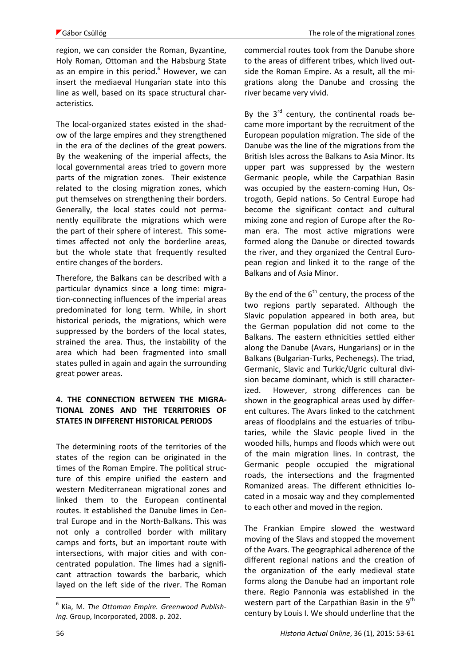region, we can consider the Roman, Byzantine, Holy Roman, Ottoman and the Habsburg State as an empire in this period. $6$  However, we can insert the mediaeval Hungarian state into this line as well, based on its space structural characteristics.

The local-organized states existed in the shadow of the large empires and they strengthened in the era of the declines of the great powers. By the weakening of the imperial affects, the local governmental areas tried to govern more parts of the migration zones. Their existence related to the closing migration zones, which put themselves on strengthening their borders. Generally, the local states could not permanently equilibrate the migrations which were the part of their sphere of interest. This sometimes affected not only the borderline areas, but the whole state that frequently resulted entire changes of the borders.

Therefore, the Balkans can be described with a particular dynamics since a long time: migration-connecting influences of the imperial areas predominated for long term. While, in short historical periods, the migrations, which were suppressed by the borders of the local states, strained the area. Thus, the instability of the area which had been fragmented into small states pulled in again and again the surrounding great power areas.

#### **4. THE CONNECTION BETWEEN THE MIGRA-TIONAL ZONES AND THE TERRITORIES OF STATES IN DIFFERENT HISTORICAL PERIODS**

The determining roots of the territories of the states of the region can be originated in the times of the Roman Empire. The political structure of this empire unified the eastern and western Mediterranean migrational zones and linked them to the European continental routes. It established the Danube limes in Central Europe and in the North-Balkans. This was not only a controlled border with military camps and forts, but an important route with intersections, with major cities and with concentrated population. The limes had a significant attraction towards the barbaric, which layed on the left side of the river. The Roman commercial routes took from the Danube shore to the areas of different tribes, which lived outside the Roman Empire. As a result, all the migrations along the Danube and crossing the river became very vivid.

By the  $3<sup>rd</sup>$  century, the continental roads became more important by the recruitment of the European population migration. The side of the Danube was the line of the migrations from the British Isles across the Balkans to Asia Minor. Its upper part was suppressed by the western Germanic people, while the Carpathian Basin was occupied by the eastern-coming Hun, Ostrogoth, Gepid nations. So Central Europe had become the significant contact and cultural mixing zone and region of Europe after the Roman era. The most active migrations were formed along the Danube or directed towards the river, and they organized the Central European region and linked it to the range of the Balkans and of Asia Minor.

By the end of the  $6<sup>th</sup>$  century, the process of the two regions partly separated. Although the Slavic population appeared in both area, but the German population did not come to the Balkans. The eastern ethnicities settled either along the Danube (Avars, Hungarians) or in the Balkans (Bulgarian-Turks, Pechenegs). The triad, Germanic, Slavic and Turkic/Ugric cultural division became dominant, which is still characterized. However, strong differences can be shown in the geographical areas used by different cultures. The Avars linked to the catchment areas of floodplains and the estuaries of tributaries, while the Slavic people lived in the wooded hills, humps and floods which were out of the main migration lines. In contrast, the Germanic people occupied the migrational roads, the intersections and the fragmented Romanized areas. The different ethnicities located in a mosaic way and they complemented to each other and moved in the region.

The Frankian Empire slowed the westward moving of the Slavs and stopped the movement of the Avars. The geographical adherence of the different regional nations and the creation of the organization of the early medieval state forms along the Danube had an important role there. Regio Pannonia was established in the western part of the Carpathian Basin in the  $9<sup>th</sup>$ century by Louis I. We should underline that the

<sup>6</sup> Kia, M. *The Ottoman Empire. Greenwood Publishing.* Group, Incorporated, 2008. p. 202.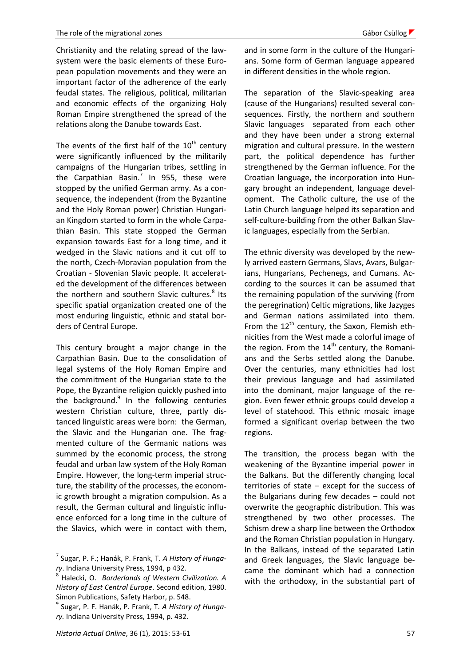Christianity and the relating spread of the lawsystem were the basic elements of these European population movements and they were an important factor of the adherence of the early feudal states. The religious, political, militarian and economic effects of the organizing Holy Roman Empire strengthened the spread of the relations along the Danube towards East.

The events of the first half of the  $10<sup>th</sup>$  century were significantly influenced by the militarily campaigns of the Hungarian tribes, settling in the Carpathian Basin.<sup>7</sup> In 955, these were stopped by the unified German army. As a consequence, the independent (from the Byzantine and the Holy Roman power) Christian Hungarian Kingdom started to form in the whole Carpathian Basin. This state stopped the German expansion towards East for a long time, and it wedged in the Slavic nations and it cut off to the north, Czech-Moravian population from the Croatian - Slovenian Slavic people. It accelerated the development of the differences between the northern and southern Slavic cultures.<sup>8</sup> Its specific spatial organization created one of the most enduring linguistic, ethnic and statal borders of Central Europe.

This century brought a major change in the Carpathian Basin. Due to the consolidation of legal systems of the Holy Roman Empire and the commitment of the Hungarian state to the Pope, the Byzantine religion quickly pushed into the background.<sup>9</sup> In the following centuries western Christian culture, three, partly distanced linguistic areas were born: the German, the Slavic and the Hungarian one. The fragmented culture of the Germanic nations was summed by the economic process, the strong feudal and urban law system of the Holy Roman Empire. However, the long-term imperial structure, the stability of the processes, the economic growth brought a migration compulsion. As a result, the German cultural and linguistic influence enforced for a long time in the culture of the Slavics, which were in contact with them,

and in some form in the culture of the Hungarians. Some form of German language appeared in different densities in the whole region.

The separation of the Slavic-speaking area (cause of the Hungarians) resulted several consequences. Firstly, the northern and southern Slavic languages separated from each other and they have been under a strong external migration and cultural pressure. In the western part, the political dependence has further strengthened by the German influence. For the Croatian language, the incorporation into Hungary brought an independent, language development. The Catholic culture, the use of the Latin Church language helped its separation and self-culture-building from the other Balkan Slavic languages, especially from the Serbian.

The ethnic diversity was developed by the newly arrived eastern Germans, Slavs, Avars, Bulgarians, Hungarians, Pechenegs, and Cumans. According to the sources it can be assumed that the remaining population of the surviving (from the peregrination) Celtic migrations, like Jazyges and German nations assimilated into them. From the  $12^{th}$  century, the Saxon, Flemish ethnicities from the West made a colorful image of the region. From the  $14<sup>th</sup>$  century, the Romanians and the Serbs settled along the Danube. Over the centuries, many ethnicities had lost their previous language and had assimilated into the dominant, major language of the region. Even fewer ethnic groups could develop a level of statehood. This ethnic mosaic image formed a significant overlap between the two regions.

The transition, the process began with the weakening of the Byzantine imperial power in the Balkans. But the differently changing local territories of state – except for the success of the Bulgarians during few decades – could not overwrite the geographic distribution. This was strengthened by two other processes. The Schism drew a sharp line between the Orthodox and the Roman Christian population in Hungary. In the Balkans, instead of the separated Latin and Greek languages, the Slavic language became the dominant which had a connection with the orthodoxy, in the substantial part of

<sup>7</sup> Sugar, P. F.; Hanák, P. Frank, T. *A History of Hungary*. Indiana University Press, 1994, p 432.

<sup>8</sup> Halecki, O. *Borderlands of Western Civilization. A History of East Central Europe*. Second edition, 1980. Simon Publications, Safety Harbor, p. 548.

<sup>9</sup> Sugar, P. F. Hanák, P. Frank, T. *A History of Hungary.* Indiana University Press, 1994, p. 432.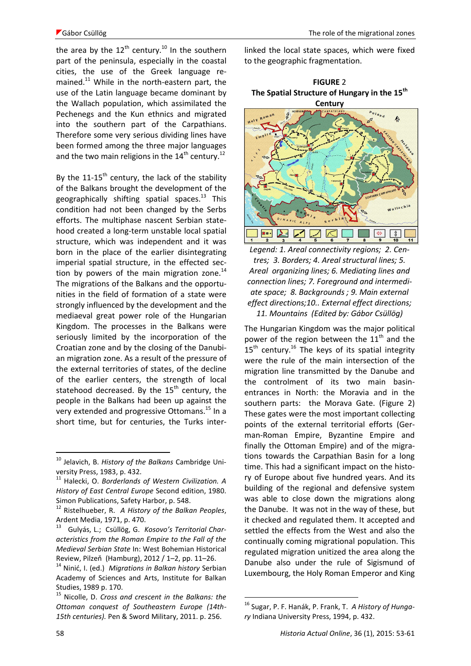the area by the  $12^{th}$  century.<sup>10</sup> In the southern part of the peninsula, especially in the coastal cities, the use of the Greek language remained.<sup>11</sup> While in the north-eastern part, the use of the Latin language became dominant by the Wallach population, which assimilated the Pechenegs and the Kun ethnics and migrated into the southern part of the Carpathians. Therefore some very serious dividing lines have been formed among the three major languages and the two main religions in the  $14<sup>th</sup>$  century.<sup>12</sup>

By the  $11-15^{th}$  century, the lack of the stability of the Balkans brought the development of the geographically shifting spatial spaces. $^{13}$  This condition had not been changed by the Serbs efforts. The multiphase nascent Serbian statehood created a long-term unstable local spatial structure, which was independent and it was born in the place of the earlier disintegrating imperial spatial structure, in the effected section by powers of the main migration zone. $^{14}$ The migrations of the Balkans and the opportunities in the field of formation of a state were strongly influenced by the development and the mediaeval great power role of the Hungarian Kingdom. The processes in the Balkans were seriously limited by the incorporation of the Croatian zone and by the closing of the Danubian migration zone. As a result of the pressure of the external territories of states, of the decline of the earlier centers, the strength of local statehood decreased. By the  $15<sup>th</sup>$  century, the people in the Balkans had been up against the very extended and progressive Ottomans.<sup>15</sup> In a short time, but for centuries, the Turks interlinked the local state spaces, which were fixed to the geographic fragmentation.





*Legend: 1. Areal connectivity regions; 2. Centres; 3. Borders; 4. Areal structural lines; 5. Areal organizing lines; 6. Mediating lines and connection lines; 7. Foreground and intermediate space; 8. Backgrounds ; 9. Main external effect directions;10.. External effect directions; 11. Mountains (Edited by: Gábor Csüllög)*

The Hungarian Kingdom was the major political power of the region between the 11<sup>th</sup> and the  $15<sup>th</sup>$  century.<sup>16</sup> The keys of its spatial integrity were the rule of the main intersection of the migration line transmitted by the Danube and the controlment of its two main basinentrances in North: the Moravia and in the southern parts: the Morava Gate. (Figure 2) These gates were the most important collecting points of the external territorial efforts (German-Roman Empire, Byzantine Empire and finally the Ottoman Empire) and of the migrations towards the Carpathian Basin for a long time. This had a significant impact on the history of Europe about five hundred years. And its building of the regional and defensive system was able to close down the migrations along the Danube. It was not in the way of these, but it checked and regulated them. It accepted and settled the effects from the West and also the continually coming migrational population. This regulated migration unitized the area along the Danube also under the rule of Sigismund of Luxembourg, the Holy Roman Emperor and King

<u>.</u>

<sup>10</sup> Jelavich, B. *History of the Balkans* Cambridge University Press, 1983, p. 432.

<sup>11</sup> Halecki, O. *Borderlands of Western Civilization. A History of East Central Europe* Second edition, 1980. Simon Publications, Safety Harbor, p. 548.

<sup>12</sup> Ristelhueber, R. *A History of the Balkan Peoples*, Ardent Media, 1971, p. 470.

<sup>13</sup> Gulyás, L.; Csüllög, G. *Kosovo's Territorial Characteristics from the Roman Empire to the Fall of the Medieval Serbian State* In: West Bohemian Historical Review, Pilzeň (Hamburg), 2012 / 1–2, pp. 11–26.

<sup>14</sup> Ninić, I. (ed.) *Migrations in Balkan history* Serbian Academy of Sciences and Arts, Institute for Balkan Studies, 1989 p. 170.

<sup>15</sup> Nicolle, D. *Cross and crescent in the Balkans: the Ottoman conquest of Southeastern Europe (14th-15th centuries).* Pen & Sword Military, 2011. p. 256.

<sup>16</sup> Sugar, P. F. Hanák, P. Frank, T. *A History of Hungary* Indiana University Press, 1994, p. 432.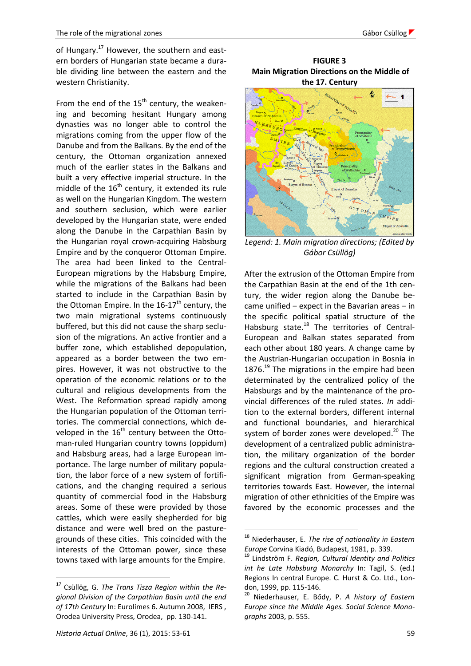of Hungary.<sup>17</sup> However, the southern and eastern borders of Hungarian state became a durable dividing line between the eastern and the western Christianity.

From the end of the  $15<sup>th</sup>$  century, the weakening and becoming hesitant Hungary among dynasties was no longer able to control the migrations coming from the upper flow of the Danube and from the Balkans. By the end of the century, the Ottoman organization annexed much of the earlier states in the Balkans and built a very effective imperial structure. In the middle of the  $16^{\text{th}}$  century, it extended its rule as well on the Hungarian Kingdom. The western and southern seclusion, which were earlier developed by the Hungarian state, were ended along the Danube in the Carpathian Basin by the Hungarian royal crown-acquiring Habsburg Empire and by the conqueror Ottoman Empire. The area had been linked to the Central-European migrations by the Habsburg Empire, while the migrations of the Balkans had been started to include in the Carpathian Basin by the Ottoman Empire. In the  $16-17$ <sup>th</sup> century, the two main migrational systems continuously buffered, but this did not cause the sharp seclusion of the migrations. An active frontier and a buffer zone, which established depopulation, appeared as a border between the two empires. However, it was not obstructive to the operation of the economic relations or to the cultural and religious developments from the West. The Reformation spread rapidly among the Hungarian population of the Ottoman territories. The commercial connections, which developed in the  $16<sup>th</sup>$  century between the Ottoman-ruled Hungarian country towns (oppidum) and Habsburg areas, had a large European importance. The large number of military population, the labor force of a new system of fortifications, and the changing required a serious quantity of commercial food in the Habsburg areas. Some of these were provided by those cattles, which were easily shepherded for big distance and were well bred on the pasturegrounds of these cities. This coincided with the interests of the Ottoman power, since these towns taxed with large amounts for the Empire.

 $\overline{a}$ 

**FIGURE 3 Main Migration Directions on the Middle of the 17. Century**



*Legend: 1. Main migration directions; (Edited by Gábor Csüllög)*

After the extrusion of the Ottoman Empire from the Carpathian Basin at the end of the 1th century, the wider region along the Danube became unified  $-$  expect in the Bavarian areas  $-$  in the specific political spatial structure of the Habsburg state.<sup>18</sup> The territories of Central-European and Balkan states separated from each other about 180 years. A change came by the Austrian-Hungarian occupation in Bosnia in 1876.<sup>19</sup> The migrations in the empire had been determinated by the centralized policy of the Habsburgs and by the maintenance of the provincial differences of the ruled states. *In* addition to the external borders, different internal and functional boundaries, and hierarchical system of border zones were developed. $^{20}$  The development of a centralized public administration, the military organization of the border regions and the cultural construction created a significant migration from German-speaking territories towards East. However, the internal migration of other ethnicities of the Empire was favored by the economic processes and the

<u>.</u>

<sup>17</sup> Csüllög, G. *The Trans Tisza Region within the Regional Division of the Carpathian Basin until the end of 17th Century* In: Eurolimes 6. Autumn 2008, IERS , Orodea University Press, Orodea, pp. 130-141.

<sup>18</sup> Niederhauser, E. *The rise of nationality in Eastern Europe* Corvina Kiadó, Budapest, 1981, p. 339.

<sup>19</sup> Lindström F. *Region, Cultural Identity and Politics int he Late Habsburg Monarchy* In: Tagil, S. (ed.) Regions In central Europe. C. Hurst & Co. Ltd., London, 1999, pp. 115-146.

<sup>20</sup> Niederhauser, E. Bődy, P. *A history of Eastern Europe since the Middle Ages. Social Science Monographs* 2003, p. 555.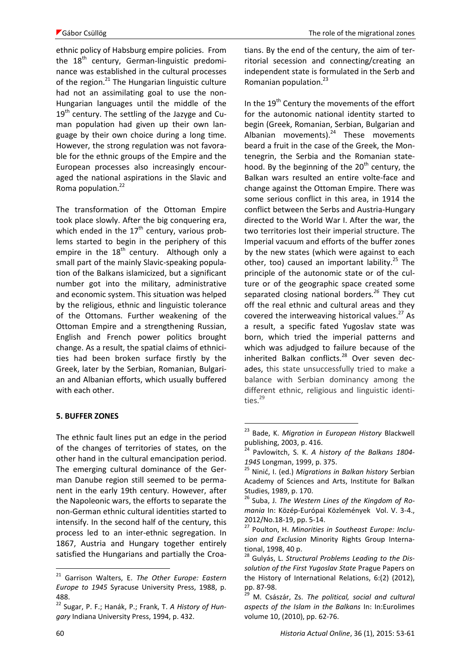ethnic policy of Habsburg empire policies. From the  $18<sup>th</sup>$  century, German-linguistic predominance was established in the cultural processes of the region. $^{21}$  The Hungarian linguistic culture had not an assimilating goal to use the non-Hungarian languages until the middle of the  $19<sup>th</sup>$  century. The settling of the Jazyge and Cuman population had given up their own language by their own choice during a long time. However, the strong regulation was not favorable for the ethnic groups of the Empire and the European processes also increasingly encouraged the national aspirations in the Slavic and Roma population.<sup>22</sup>

The transformation of the Ottoman Empire took place slowly. After the big conquering era, which ended in the  $17<sup>th</sup>$  century, various problems started to begin in the periphery of this empire in the  $18<sup>th</sup>$  century. Although only a small part of the mainly Slavic-speaking population of the Balkans islamicized, but a significant number got into the military, administrative and economic system. This situation was helped by the religious, ethnic and linguistic tolerance of the Ottomans. Further weakening of the Ottoman Empire and a strengthening Russian, English and French power politics brought change. As a result, the spatial claims of ethnicities had been broken surface firstly by the Greek, later by the Serbian, Romanian, Bulgarian and Albanian efforts, which usually buffered with each other.

#### **5. BUFFER ZONES**

The ethnic fault lines put an edge in the period of the changes of territories of states, on the other hand in the cultural emancipation period. The emerging cultural dominance of the German Danube region still seemed to be permanent in the early 19th century. However, after the Napoleonic wars, the efforts to separate the non-German ethnic cultural identities started to intensify. In the second half of the century, this process led to an inter-ethnic segregation. In 1867, Austria and Hungary together entirely satisfied the Hungarians and partially the Croatians. By the end of the century, the aim of territorial secession and connecting/creating an independent state is formulated in the Serb and Romanian population. 23

In the 19<sup>th</sup> Century the movements of the effort for the autonomic national identity started to begin (Greek, Romanian, Serbian, Bulgarian and Albanian movements). <sup>24</sup> These movements beard a fruit in the case of the Greek, the Montenegrin, the Serbia and the Romanian statehood. By the beginning of the  $20<sup>th</sup>$  century, the Balkan wars resulted an entire volte-face and change against the Ottoman Empire. There was some serious conflict in this area, in 1914 the conflict between the Serbs and Austria-Hungary directed to the World War I. After the war, the two territories lost their imperial structure. The Imperial vacuum and efforts of the buffer zones by the new states (which were against to each other, too) caused an important lability. $^{25}$  The principle of the autonomic state or of the culture or of the geographic space created some separated closing national borders*. <sup>26</sup>* They cut off the real ethnic and cultural areas and they covered the interweaving historical values.<sup>27</sup> As a result, a specific fated Yugoslav state was born, which tried the imperial patterns and which was adjudged to failure because of the inherited Balkan conflicts.<sup>28</sup> Over seven decades, this state unsuccessfully tried to make a balance with Serbian dominancy among the different ethnic, religious and linguistic identities.<sup>29</sup>

1

<sup>21</sup> Garrison Walters, E. *The Other Europe: Eastern Europe to 1945* Syracuse University Press, 1988, p. 488.

<sup>22</sup> Sugar, P. F.; Hanák, P.; Frank, T. *A History of Hungary* Indiana University Press, 1994, p. 432.

<sup>23</sup> Bade, K. *Migration in European History* Blackwell publishing, 2003, p. 416.

<sup>24</sup> Pavlowitch, S. K. *A history of the Balkans 1804- 1945* Longman, 1999, p. 375.

<sup>25</sup> Ninić, I. (ed.) *Migrations in Balkan history* Serbian Academy of Sciences and Arts, Institute for Balkan Studies, 1989, p. 170.

<sup>26</sup> Suba, J. *The Western Lines of the Kingdom of Romania* In: Közép-Európai Közlemények Vol. V. 3-4., 2012/No.18-19, pp. 5-14.

<sup>27</sup> Poulton, H. *Minorities in Southeast Europe: Inclusion and Exclusion* Minority Rights Group International, 1998, 40 p.

<sup>28</sup> Gulyás, L. *Structural Problems Leading to the Dissolution of the First Yugoslav State* Prague Papers on the History of International Relations, 6:(2) (2012), pp. 87-98.

<sup>29</sup> M. Császár, Zs. *The political, social and cultural aspects of the Islam in the Balkans* In: In:Eurolimes volume 10, (2010), pp. 62-76.